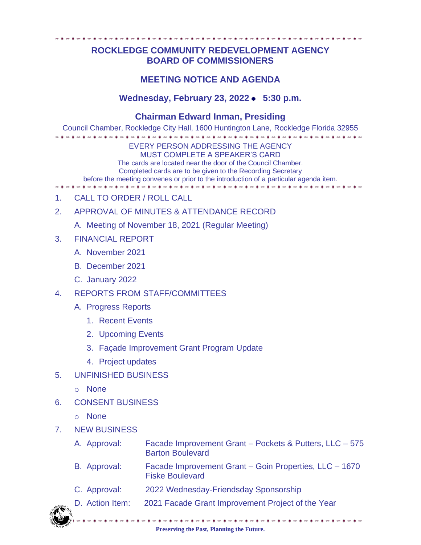## **ROCKLEDGE COMMUNITY REDEVELOPMENT AGENCY BOARD OF COMMISSIONERS**

## **MEETING NOTICE AND AGENDA**

## Wednesday, February 23, 2022 • 5:30 p.m.

## **Chairman Edward Inman, Presiding**

Council Chamber, Rockledge City Hall, 1600 Huntington Lane, Rockledge Florida 32955

EVERY PERSON ADDRESSING THE AGENCY MUST COMPLETE A SPEAKER'S CARD

The cards are located near the door of the Council Chamber. Completed cards are to be given to the Recording Secretary

before the meeting convenes or prior to the introduction of a particular agenda item.

- 1. CALL TO ORDER / ROLL CALL
- 2. APPROVAL OF MINUTES & ATTENDANCE RECORD
	- A. Meeting of November 18, 2021 (Regular Meeting)
- 3. FINANCIAL REPORT
	- A. November 2021
	- B. December 2021
	- C. January 2022
- 4. REPORTS FROM STAFF/COMMITTEES
	- A. Progress Reports
		- 1. Recent Events
		- 2. Upcoming Events
		- 3. Façade Improvement Grant Program Update
		- 4. Project updates
- 5. UNFINISHED BUSINESS
	- o None
- 6. CONSENT BUSINESS
	- o None
- 7. NEW BUSINESS
	- A. Approval: Facade Improvement Grant Pockets & Putters, LLC 575 Barton Boulevard
	- B. Approval: Facade Improvement Grant Goin Properties, LLC 1670 Fiske Boulevard
	- C. Approval: 2022 Wednesday-Friendsday Sponsorship
	- D. Action Item: 2021 Facade Grant Improvement Project of the Year